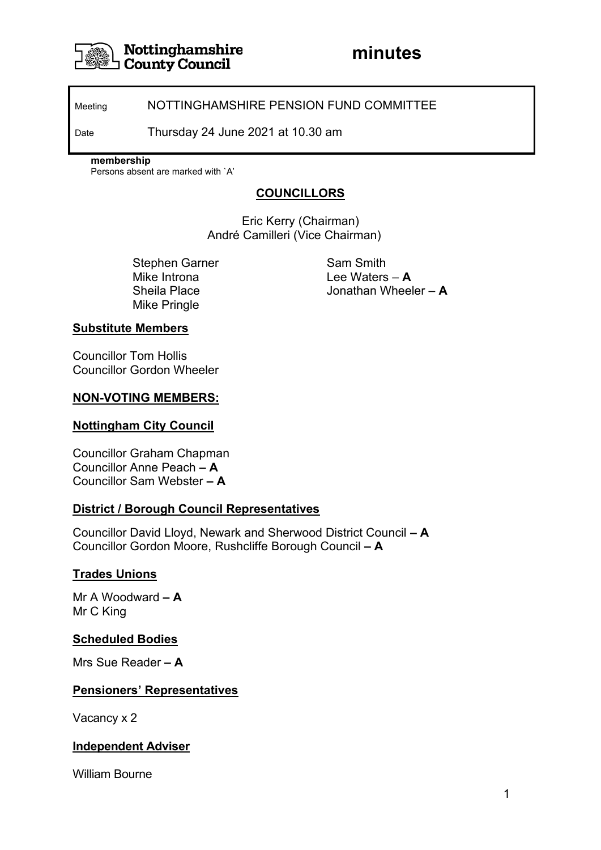

#### Meeting NOTTINGHAMSHIRE PENSION FUND COMMITTEE

Date Thursday 24 June 2021 at 10.30 am

#### **membership**

Persons absent are marked with `A'

## **COUNCILLORS**

Eric Kerry (Chairman) André Camilleri (Vice Chairman)

Stephen Garner Sam Smith Mike Introna Lee Waters – **A** Mike Pringle

Sheila Place Jonathan Wheeler – **A**

#### **Substitute Members**

Councillor Tom Hollis Councillor Gordon Wheeler

#### **NON-VOTING MEMBERS:**

#### **Nottingham City Council**

Councillor Graham Chapman Councillor Anne Peach **– A** Councillor Sam Webster **– A**

### **District / Borough Council Representatives**

Councillor David Lloyd, Newark and Sherwood District Council **– A** Councillor Gordon Moore, Rushcliffe Borough Council **– A**

#### **Trades Unions**

Mr A Woodward **– A** Mr C King

#### **Scheduled Bodies**

Mrs Sue Reader **– A**

### **Pensioners' Representatives**

Vacancy x 2

#### **Independent Adviser**

William Bourne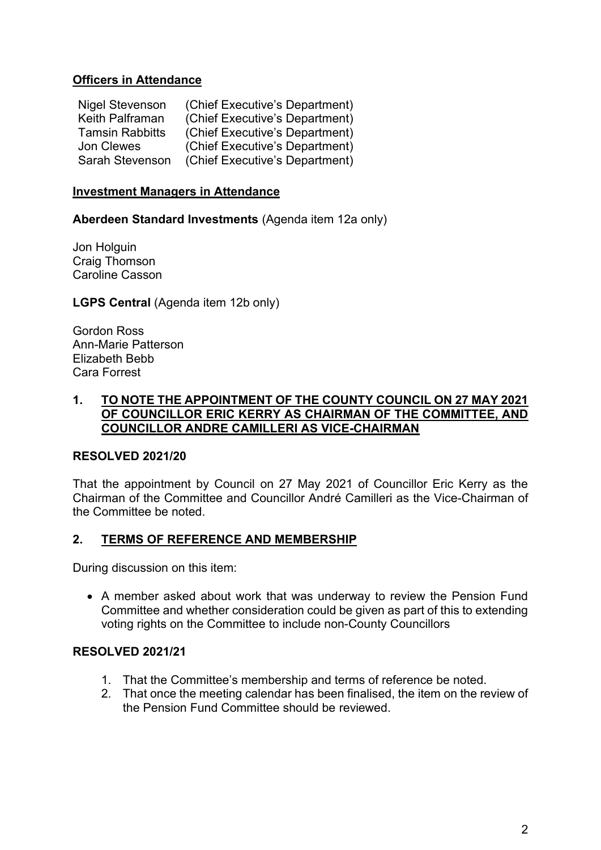## **Officers in Attendance**

| <b>Nigel Stevenson</b> | (Chief Executive's Department) |
|------------------------|--------------------------------|
| Keith Palframan        | (Chief Executive's Department) |
| <b>Tamsin Rabbitts</b> | (Chief Executive's Department) |
| Jon Clewes             | (Chief Executive's Department) |
| Sarah Stevenson        | (Chief Executive's Department) |

### **Investment Managers in Attendance**

**Aberdeen Standard Investments** (Agenda item 12a only)

Jon Holguin Craig Thomson Caroline Casson

**LGPS Central** (Agenda item 12b only)

Gordon Ross Ann-Marie Patterson Elizabeth Bebb Cara Forrest

### **1. TO NOTE THE APPOINTMENT OF THE COUNTY COUNCIL ON 27 MAY 2021 OF COUNCILLOR ERIC KERRY AS CHAIRMAN OF THE COMMITTEE, AND COUNCILLOR ANDRE CAMILLERI AS VICE-CHAIRMAN**

## **RESOLVED 2021/20**

That the appointment by Council on 27 May 2021 of Councillor Eric Kerry as the Chairman of the Committee and Councillor André Camilleri as the Vice-Chairman of the Committee be noted.

## **2. TERMS OF REFERENCE AND MEMBERSHIP**

During discussion on this item:

• A member asked about work that was underway to review the Pension Fund Committee and whether consideration could be given as part of this to extending voting rights on the Committee to include non-County Councillors

## **RESOLVED 2021/21**

- 1. That the Committee's membership and terms of reference be noted.
- 2. That once the meeting calendar has been finalised, the item on the review of the Pension Fund Committee should be reviewed.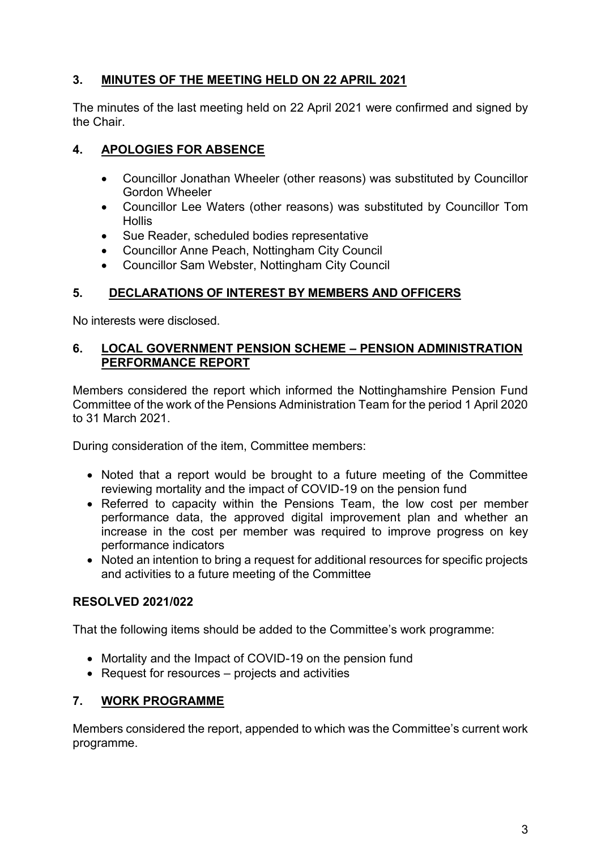# **3. MINUTES OF THE MEETING HELD ON 22 APRIL 2021**

The minutes of the last meeting held on 22 April 2021 were confirmed and signed by the Chair.

# **4. APOLOGIES FOR ABSENCE**

- Councillor Jonathan Wheeler (other reasons) was substituted by Councillor Gordon Wheeler
- Councillor Lee Waters (other reasons) was substituted by Councillor Tom **Hollis**
- Sue Reader, scheduled bodies representative
- Councillor Anne Peach, Nottingham City Council
- Councillor Sam Webster, Nottingham City Council

# **5. DECLARATIONS OF INTEREST BY MEMBERS AND OFFICERS**

No interests were disclosed.

## **6. LOCAL GOVERNMENT PENSION SCHEME – PENSION ADMINISTRATION PERFORMANCE REPORT**

Members considered the report which informed the Nottinghamshire Pension Fund Committee of the work of the Pensions Administration Team for the period 1 April 2020 to 31 March 2021.

During consideration of the item, Committee members:

- Noted that a report would be brought to a future meeting of the Committee reviewing mortality and the impact of COVID-19 on the pension fund
- Referred to capacity within the Pensions Team, the low cost per member performance data, the approved digital improvement plan and whether an increase in the cost per member was required to improve progress on key performance indicators
- Noted an intention to bring a request for additional resources for specific projects and activities to a future meeting of the Committee

# **RESOLVED 2021/022**

That the following items should be added to the Committee's work programme:

- Mortality and the Impact of COVID-19 on the pension fund
- Request for resources projects and activities

# **7. WORK PROGRAMME**

Members considered the report, appended to which was the Committee's current work programme.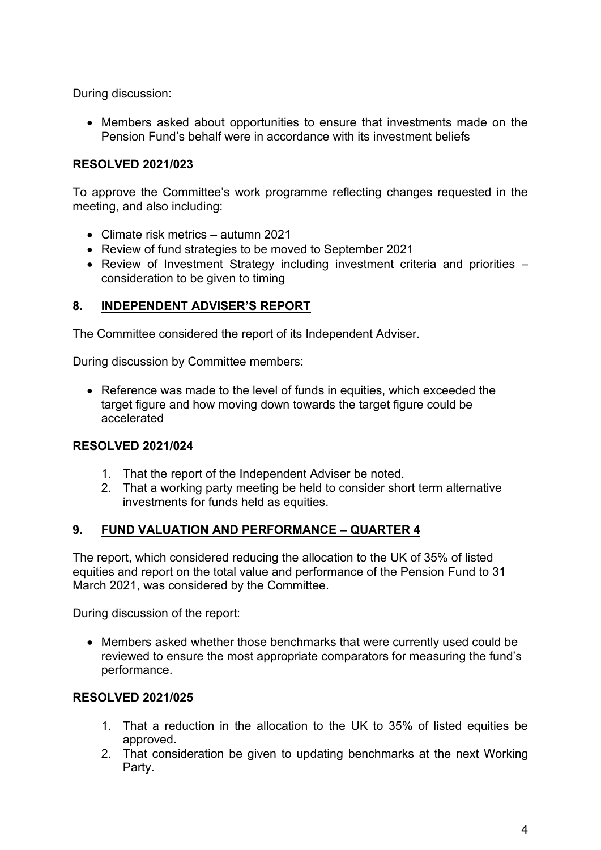During discussion:

• Members asked about opportunities to ensure that investments made on the Pension Fund's behalf were in accordance with its investment beliefs

## **RESOLVED 2021/023**

To approve the Committee's work programme reflecting changes requested in the meeting, and also including:

- Climate risk metrics autumn 2021
- Review of fund strategies to be moved to September 2021
- Review of Investment Strategy including investment criteria and priorities consideration to be given to timing

## **8. INDEPENDENT ADVISER'S REPORT**

The Committee considered the report of its Independent Adviser.

During discussion by Committee members:

• Reference was made to the level of funds in equities, which exceeded the target figure and how moving down towards the target figure could be accelerated

### **RESOLVED 2021/024**

- 1. That the report of the Independent Adviser be noted.
- 2. That a working party meeting be held to consider short term alternative investments for funds held as equities.

### **9. FUND VALUATION AND PERFORMANCE – QUARTER 4**

The report, which considered reducing the allocation to the UK of 35% of listed equities and report on the total value and performance of the Pension Fund to 31 March 2021, was considered by the Committee.

During discussion of the report:

• Members asked whether those benchmarks that were currently used could be reviewed to ensure the most appropriate comparators for measuring the fund's performance.

### **RESOLVED 2021/025**

- 1. That a reduction in the allocation to the UK to 35% of listed equities be approved.
- 2. That consideration be given to updating benchmarks at the next Working Party.